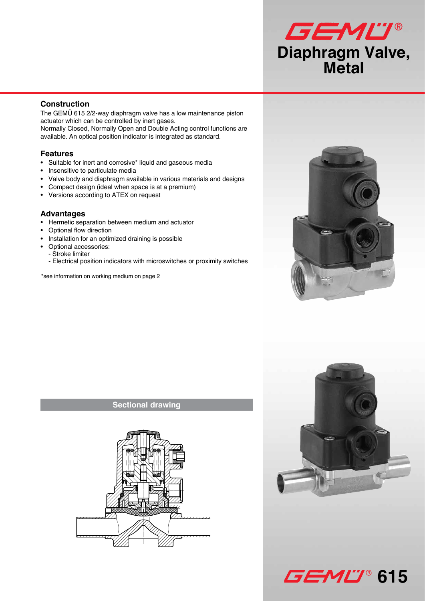# GEMU® **Diaphragm Valve, Metal**

# **Construction**

The GEMÜ 615 2/2-way diaphragm valve has a low maintenance piston actuator which can be controlled by inert gases. Normally Closed, Normally Open and Double Acting control functions are available. An optical position indicator is integrated as standard.

#### **Features**

- Suitable for inert and corrosive\* liquid and gaseous media
- Insensitive to particulate media
- Valve body and diaphragm available in various materials and designs
- Compact design (ideal when space is at a premium)
- Versions according to ATEX on request

#### **Advantages**

- Hermetic separation between medium and actuator
- Optional flow direction
- Installation for an optimized draining is possible
- Optional accessories:
	- Stroke limiter
	- Electrical position indicators with microswitches or proximity switches

\*see information on working medium on page 2





**GEML'** 615



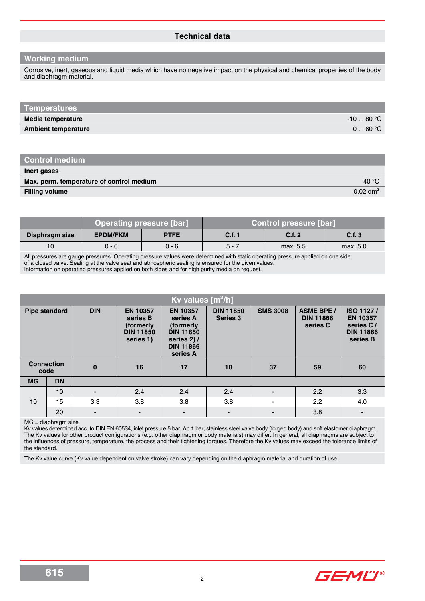#### **Technical data**

#### **Working medium**

Corrosive, inert, gaseous and liquid media which have no negative impact on the physical and chemical properties of the body and diaphragm material.

| Temperatures               |                 |
|----------------------------|-----------------|
| Media temperature          | $-1080 °C$      |
| <b>Ambient temperature</b> | $0 \dots 60 °C$ |

#### **Inert gases**

| Max. perm. temperature of control medium | 40 $^{\circ}$ C        |
|------------------------------------------|------------------------|
| <b>Filling volume</b>                    | $0.02$ dm <sup>3</sup> |

|                | <b>Operating pressure [bar]</b> |             | <b>Control pressure [bar]</b> |          |          |
|----------------|---------------------------------|-------------|-------------------------------|----------|----------|
| Diaphragm size | <b>EPDM/FKM</b>                 | <b>PTFE</b> | C.f. 1                        | C.f. 2   | C.f.3    |
| 10             | ი - 6                           | $0 - 6$     | $5 - 7$                       | max. 5.5 | max. 5.0 |

All pressures are gauge pressures. Operating pressure values were determined with static operating pressure applied on one side of a closed valve. Sealing at the valve seat and atmospheric sealing is ensured for the given values. Information on operating pressures applied on both sides and for high purity media on request.

|           | Kv values [m <sup>3</sup> /h] |            |                                                                           |                                                                                                             |                              |                 |                                                   |                                                                           |
|-----------|-------------------------------|------------|---------------------------------------------------------------------------|-------------------------------------------------------------------------------------------------------------|------------------------------|-----------------|---------------------------------------------------|---------------------------------------------------------------------------|
|           | <b>Pipe standard</b>          | <b>DIN</b> | <b>EN 10357</b><br>series B<br>(formerly<br><b>DIN 11850</b><br>series 1) | <b>EN 10357</b><br>series A<br>(formerly<br><b>DIN 11850</b><br>series 2) /<br><b>DIN 11866</b><br>series A | <b>DIN 11850</b><br>Series 3 | <b>SMS 3008</b> | <b>ASME BPE /</b><br><b>DIN 11866</b><br>series C | ISO 1127/<br><b>EN 10357</b><br>series C/<br><b>DIN 11866</b><br>series B |
| code      | <b>Connection</b>             | $\bf{0}$   | 16                                                                        | 17                                                                                                          | 18                           | 37              | 59                                                | 60                                                                        |
| <b>MG</b> | <b>DN</b>                     |            |                                                                           |                                                                                                             |                              |                 |                                                   |                                                                           |
|           | 10                            |            | 2.4                                                                       | 2.4                                                                                                         | 2.4                          |                 | 2.2                                               | 3.3                                                                       |
| 10        | 15                            | 3.3        | 3.8                                                                       | 3.8                                                                                                         | 3.8                          |                 | 2.2                                               | 4.0                                                                       |
|           | 20                            |            | $\blacksquare$                                                            |                                                                                                             |                              |                 | 3.8                                               |                                                                           |

MG = diaphragm size

Kv values determined acc. to DIN EN 60534, inlet pressure 5 bar, ∆p 1 bar, stainless steel valve body (forged body) and soft elastomer diaphragm. The Kv values for other product configurations (e.g. other diaphragm or body materials) may differ. In general, all diaphragms are subject to the influences of pressure, temperature, the process and their tightening torques. Therefore the Kv values may exceed the tolerance limits of the standard.

The Kv value curve (Kv value dependent on valve stroke) can vary depending on the diaphragm material and duration of use.



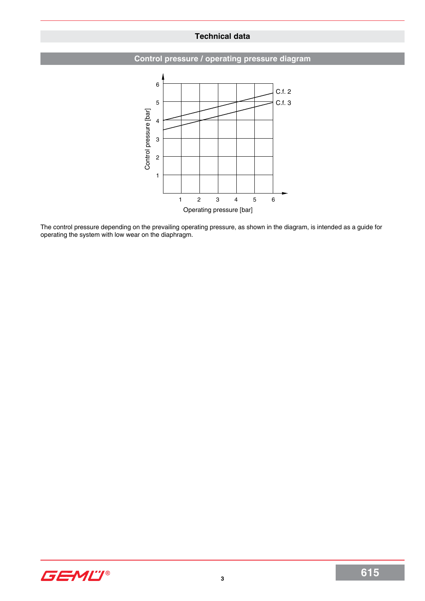# **Technical data**





The control pressure depending on the prevailing operating pressure, as shown in the diagram, is intended as a guide for operating the system with low wear on the diaphragm.

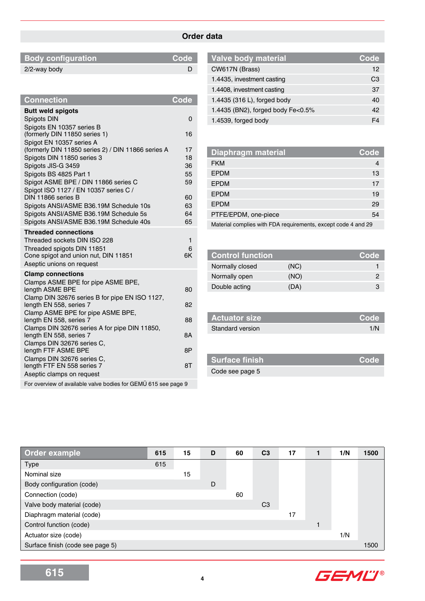# **Order data**

| <b>Body configuration</b> | Code <sup>l</sup> |
|---------------------------|-------------------|
| 2/2-way body              |                   |
|                           |                   |

| <b>Connection</b>                                                        | Code     |
|--------------------------------------------------------------------------|----------|
| <b>Butt weld spigots</b>                                                 |          |
| Spigots DIN                                                              | 0        |
| Spigots EN 10357 series B                                                |          |
| (formerly DIN 11850 series 1)                                            | 16       |
| Spigot EN 10357 series A                                                 |          |
| (formerly DIN 11850 series 2) / DIN 11866 series A                       | 17       |
| Spigots DIN 11850 series 3<br>Spigots JIS-G 3459                         | 18<br>36 |
| Spigots BS 4825 Part 1                                                   | 55       |
| Spigot ASME BPE / DIN 11866 series C                                     | 59       |
| Spigot ISO 1127 / EN 10357 series C /                                    |          |
| DIN 11866 series B                                                       | 60       |
| Spigots ANSI/ASME B36.19M Schedule 10s                                   | 63       |
| Spigots ANSI/ASME B36.19M Schedule 5s                                    | 64       |
| Spigots ANSI/ASME B36.19M Schedule 40s                                   | 65       |
| <b>Threaded connections</b>                                              |          |
| Threaded sockets DIN ISO 228                                             | 1        |
| Threaded spigots DIN 11851                                               | 6<br>6K  |
| Cone spigot and union nut, DIN 11851<br>Aseptic unions on request        |          |
|                                                                          |          |
| <b>Clamp connections</b><br>Clamps ASME BPE for pipe ASME BPE,           |          |
| length ASME BPE                                                          | 80       |
| Clamp DIN 32676 series B for pipe EN ISO 1127,                           |          |
| length EN 558, series 7                                                  | 82       |
| Clamp ASME BPE for pipe ASME BPE,                                        |          |
| length EN 558, series 7                                                  | 88       |
| Clamps DIN 32676 series A for pipe DIN 11850,<br>length EN 558, series 7 | 8А       |
| Clamps DIN 32676 series C,                                               |          |
| length FTF ASME BPE                                                      | 8Ρ       |
| Clamps DIN 32676 series C,                                               |          |
| length FTF EN 558 series 7                                               | 8Τ       |
| Aseptic clamps on request                                                |          |
| For overview of available valve bodies for GEMÜ 615 see page 9           |          |

| Code |
|------|
| 12   |
| CЗ   |
| 37   |
| 40   |
| 42   |
| FΔ   |
|      |

| <b>Diaphragm material</b>                                     | Code |
|---------------------------------------------------------------|------|
| <b>FKM</b>                                                    | 4    |
| <b>EPDM</b>                                                   | 13   |
| <b>EPDM</b>                                                   | 17   |
| <b>EPDM</b>                                                   | 19   |
| <b>EPDM</b>                                                   | 29   |
| PTFE/EPDM, one-piece                                          | 54   |
| Material complies with FDA requirements, except code 4 and 29 |      |

| <b>Control function</b> |      | Code |
|-------------------------|------|------|
| Normally closed         | (NC) |      |
| Normally open           | (NO) |      |
| Double acting           | (DA) | З    |

| <b>Actuator size</b>    | L Code' |
|-------------------------|---------|
| <b>Standard version</b> | 1/N     |

| Surface finish  | LCode <sup>'</sup> |
|-----------------|--------------------|
| Code see page 5 |                    |

| Order example                    | 615 | 15 | D | 60 | C <sub>3</sub> | 17 | 1/N | 1500 |
|----------------------------------|-----|----|---|----|----------------|----|-----|------|
| <b>Type</b>                      | 615 |    |   |    |                |    |     |      |
| Nominal size                     |     | 15 |   |    |                |    |     |      |
| Body configuration (code)        |     |    | D |    |                |    |     |      |
| Connection (code)                |     |    |   | 60 |                |    |     |      |
| Valve body material (code)       |     |    |   |    | C <sub>3</sub> |    |     |      |
| Diaphragm material (code)        |     |    |   |    |                | 17 |     |      |
| Control function (code)          |     |    |   |    |                |    |     |      |
| Actuator size (code)             |     |    |   |    |                |    | 1/N |      |
| Surface finish (code see page 5) |     |    |   |    |                |    |     | 1500 |

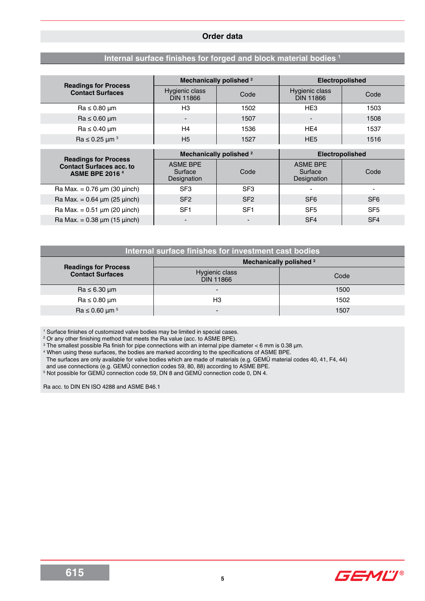#### **Order data**

# **Internal surface finishes for forged and block material bodies 1**

|                                                                                          | Mechanically polished <sup>2</sup>        |                 | <b>Electropolished</b>                    |                 |
|------------------------------------------------------------------------------------------|-------------------------------------------|-----------------|-------------------------------------------|-----------------|
| <b>Readings for Process</b><br><b>Contact Surfaces</b>                                   | Hygienic class<br><b>DIN 11866</b>        | Code            | Hygienic class<br><b>DIN 11866</b>        | Code            |
| $Ra \leq 0.80 \mu m$                                                                     | H3                                        | 1502            | HE <sub>3</sub>                           | 1503            |
| $Ra \leq 0.60 \mu m$                                                                     |                                           | 1507            | -                                         | 1508            |
| $Ra \leq 0.40 \mu m$                                                                     | H <sub>4</sub>                            | 1536            | HE4                                       | 1537            |
| Ra $\leq$ 0.25 µm <sup>3</sup>                                                           | H <sub>5</sub>                            | 1527            | HE <sub>5</sub>                           | 1516            |
|                                                                                          |                                           |                 |                                           |                 |
|                                                                                          |                                           |                 |                                           |                 |
|                                                                                          | Mechanically polished <sup>2</sup>        |                 | Electropolished                           |                 |
| <b>Readings for Process</b><br><b>Contact Surfaces acc. to</b><br><b>ASME BPE 2016 4</b> | <b>ASME BPE</b><br>Surface<br>Designation | Code            | <b>ASME BPE</b><br>Surface<br>Designation | Code            |
| Ra Max. = $0.76 \mu m$ (30 $\mu$ inch)                                                   | SF <sub>3</sub>                           | SF <sub>3</sub> |                                           |                 |
| Ra Max. = $0.64 \mu m (25 \mu nch)$                                                      | SF <sub>2</sub>                           | SF <sub>2</sub> | SF <sub>6</sub>                           | SF <sub>6</sub> |
| $Ra Max. = 0.51 \mu m (20 \mu inch)$                                                     | SF <sub>1</sub>                           | SF <sub>1</sub> | SF <sub>5</sub>                           | SF <sub>5</sub> |

|                                        | Internal surface finishes for investment cast bodies |      |
|----------------------------------------|------------------------------------------------------|------|
| <b>Readings for Process</b>            | Mechanically polished <sup>2</sup>                   |      |
| <b>Contact Surfaces</b>                | Hygienic class<br><b>DIN 11866</b>                   | Code |
| $Ra \leq 6.30 \mu m$                   | $\blacksquare$                                       | 1500 |
| $Ra \leq 0.80 \mu m$                   | H3                                                   | 1502 |
| $\text{Ra} \leq 0.60 \ \mu \text{m}^5$ | $\overline{\phantom{0}}$                             | 1507 |

1 Surface finishes of customized valve bodies may be limited in special cases.

2 Or any other finishing method that meets the Ra value (acc. to ASME BPE).

 $^{\rm 3}$  The smallest possible Ra finish for pipe connections with an internal pipe diameter < 6 mm is 0.38  $\mu$ m.

4 When using these surfaces, the bodies are marked according to the specifications of ASME BPE.

The surfaces are only available for valve bodies which are made of materials (e.g. GEMÜ material codes 40, 41, F4, 44)

and use connections (e.g. GEMÜ connection codes 59, 80, 88) according to ASME BPE.

 $^{\circ}$  Not possible for GEMU connection code 59, DN 8 and GEMU connection code 0, DN 4.

Ra acc. to DIN EN ISO 4288 and ASME B46.1

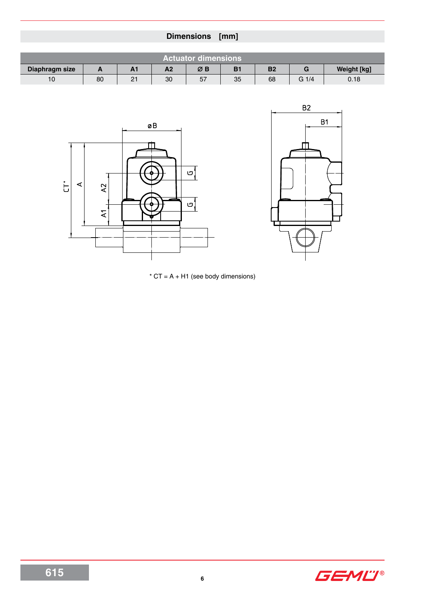|                |              |                |                | Dimensions [mm]            |           |           |                 |                    |
|----------------|--------------|----------------|----------------|----------------------------|-----------|-----------|-----------------|--------------------|
|                |              |                |                | <b>Actuator dimensions</b> |           |           |                 |                    |
| Diaphragm size | $\mathbf{A}$ | A <sub>1</sub> | A <sub>2</sub> | ØB                         | <b>B1</b> | <b>B2</b> | G               | <b>Weight [kg]</b> |
| 10             | 80           | 21             | 30             | 57                         | 35        | 68        | $G \frac{1}{4}$ | 0.18               |
|                |              |                |                |                            |           |           |                 |                    |
|                |              |                |                |                            |           |           | B2              |                    |





 $*$  CT = A + H1 (see body dimensions)

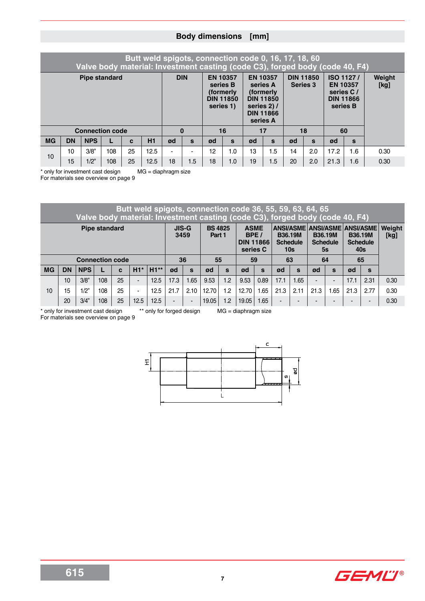# **Body dimensions [mm]**

|           |                                               |                        |  |  | Butt weld spigots, connection code 0, 16, 17, 18, 60 |     |              |                 |                                                         |             |                                                                                              |                 |                  | Valve body material: Investment casting (code C3), forged body (code 40, F4) |                               |                |
|-----------|-----------------------------------------------|------------------------|--|--|------------------------------------------------------|-----|--------------|-----------------|---------------------------------------------------------|-------------|----------------------------------------------------------------------------------------------|-----------------|------------------|------------------------------------------------------------------------------|-------------------------------|----------------|
|           |                                               | <b>Pipe standard</b>   |  |  |                                                      |     | <b>DIN</b>   | <b>EN 10357</b> | series B<br>(formerly)<br><b>DIN 11850</b><br>series 1) | series 2) / | <b>EN 10357</b><br>series A<br>(formerly<br><b>DIN 11850</b><br><b>DIN 11866</b><br>series A | <b>Series 3</b> | <b>DIN 11850</b> | <b>EN 10357</b><br>series C/<br>series B                                     | ISO 1127/<br><b>DIN 11866</b> | Weight<br>[kg] |
|           |                                               | <b>Connection code</b> |  |  |                                                      |     | $\bf{0}$     |                 | 16                                                      |             | 17                                                                                           |                 | 18               | 60                                                                           |                               |                |
| <b>MG</b> | <b>NPS</b><br><b>DN</b><br>H1<br>$\mathbf{c}$ |                        |  |  |                                                      |     | $\mathbf{s}$ | ød              | S                                                       | ød          | $\mathbf{s}$                                                                                 | ød              | S                | ød                                                                           | $\mathbf{s}$                  |                |
|           | 3/8"<br>25<br>108<br>12.5<br>10               |                        |  |  |                                                      | 12  | 1.0          | 13              | 1.5                                                     | 14          | 2.0                                                                                          | 17.2            | 1.6              | 0.30                                                                         |                               |                |
|           | 10<br>15<br>1/2"<br>25<br>108<br>12.5         |                        |  |  | 18                                                   | 1.5 | 18           | 1.0             | 19                                                      | 1.5         | 20                                                                                           | 2.0             | 21.3             | 1.6                                                                          | 0.30                          |                |

\* only for investment cast design MG = diaphragm size

For materials see overview on page 9

|                                                                                                                                                                                                                                                                                                                 |           |                        |     |    |                          |        |                |                |       |              | Butt weld spigots, connection code 36, 55, 59, 63, 64, 65<br>Valve body material: Investment casting (code C3), forged body (code 40, F4) |              |                          |                |      |                |      |              |      |
|-----------------------------------------------------------------------------------------------------------------------------------------------------------------------------------------------------------------------------------------------------------------------------------------------------------------|-----------|------------------------|-----|----|--------------------------|--------|----------------|----------------|-------|--------------|-------------------------------------------------------------------------------------------------------------------------------------------|--------------|--------------------------|----------------|------|----------------|------|--------------|------|
| <b>BS 4825</b><br>ANSI/ASME ANSI/ASME ANSI/ASME<br><b>ASME</b><br><b>JIS-G</b><br><b>Pipe standard</b><br>BPE/<br><b>B36.19M</b><br><b>B36.19M</b><br>3459<br><b>B36.19M</b><br>Part 1<br><b>DIN 11866</b><br><b>Schedule</b><br><b>Schedule</b><br><b>Schedule</b><br>series C<br>10 <sub>s</sub><br>40s<br>5s |           |                        |     |    |                          |        |                |                |       |              |                                                                                                                                           |              |                          | Weight<br>[kg] |      |                |      |              |      |
|                                                                                                                                                                                                                                                                                                                 |           | <b>Connection code</b> |     |    |                          |        |                | 36             | 55    |              | 59                                                                                                                                        |              |                          | 63             | 64   |                |      | 65           |      |
| <b>MG</b>                                                                                                                                                                                                                                                                                                       | <b>DN</b> | <b>NPS</b>             |     | C  | $H1*$                    | $H1**$ | ød             | S              | ød    | $\mathbf{s}$ | ød                                                                                                                                        | $\mathbf{s}$ | ød                       | $\mathbf{s}$   | ød   | $\mathbf{s}$   | ød   | $\mathbf{s}$ |      |
|                                                                                                                                                                                                                                                                                                                 | 10        | 3/8"                   | 108 | 25 | $\overline{\phantom{0}}$ | 12.5   | 17.3           | 1.65           | 9.53  | 1.2          | 9.53                                                                                                                                      | 0.89         | 17.1                     | 1.65           |      | $\blacksquare$ | 17.1 | 2.31         | 0.30 |
| 10                                                                                                                                                                                                                                                                                                              | 15        | 1/2"                   | 108 | 25 | $\blacksquare$           | 12.5   | 21.7           | 2.10           | 12.70 | 1.2          | 12.70                                                                                                                                     | 1.65         | 21.3                     | 2.11           | 21.3 | .65            | 21.3 | 2.77         | 0.30 |
|                                                                                                                                                                                                                                                                                                                 | 20        | 3/4"                   | 108 | 25 | 12.5                     | 12.5   | $\blacksquare$ | $\blacksquare$ | 19.05 | 1.2          | 19.05                                                                                                                                     | 1.65         | $\overline{\phantom{0}}$ |                |      |                |      | -            | 0.30 |

\* only for investment cast design \*\* only for forged design MG = diaphragm size

For materials see overview on page 9



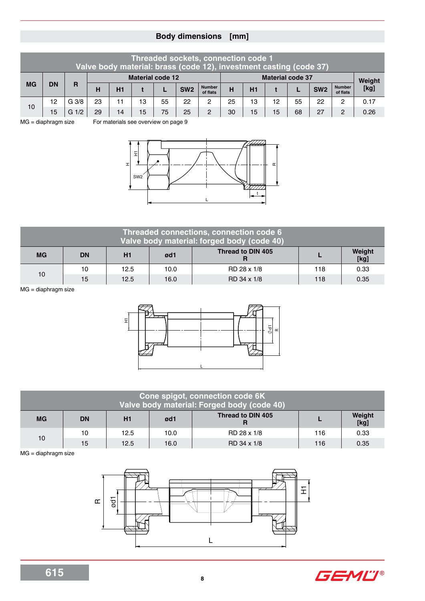# **Body dimensions [mm]**

| Threaded sockets, connection code 1<br>Valve body material: brass (code 12), investment casting (code 37) |           |                  |                                                                                                                    |    |    |    |    |                |    |    |    |    |      |                |      |  |
|-----------------------------------------------------------------------------------------------------------|-----------|------------------|--------------------------------------------------------------------------------------------------------------------|----|----|----|----|----------------|----|----|----|----|------|----------------|------|--|
|                                                                                                           |           |                  | <b>Material code 37</b><br><b>Material code 12</b>                                                                 |    |    |    |    |                |    |    |    |    |      |                |      |  |
| <b>MG</b>                                                                                                 | <b>DN</b> | R                | <b>Number</b><br><b>Number</b><br>SW <sub>2</sub><br>SW <sub>2</sub><br>н<br>H1<br>н<br>H1<br>of flats<br>of flats |    |    |    |    |                |    |    |    |    |      | Weight<br>[kg] |      |  |
| 10                                                                                                        | 12        | G <sub>3/8</sub> | 23<br>25<br>22<br>22<br>11<br>55<br>2<br>13<br>12<br>55<br>13<br>2                                                 |    |    |    |    |                |    |    |    |    | 0.17 |                |      |  |
|                                                                                                           | 15        | 1/2<br>G         | 29                                                                                                                 | 14 | 15 | 75 | 25 | $\overline{2}$ | 30 | 15 | 15 | 68 | 27   | $\overline{2}$ | 0.26 |  |

MG = diaphragm size For materials see overview on page 9



|           |                                                               |      |      | Threaded connections, connection code 6<br>Valve body material: forged body (code 40) |     |      |  |  |  |  |  |  |  |  |
|-----------|---------------------------------------------------------------|------|------|---------------------------------------------------------------------------------------|-----|------|--|--|--|--|--|--|--|--|
| <b>MG</b> | Thread to DIN 405<br>Weight<br><b>DN</b><br>ød1<br>H1<br>[kg] |      |      |                                                                                       |     |      |  |  |  |  |  |  |  |  |
| 10        | 10                                                            | 12.5 | 10.0 | RD 28 x 1/8                                                                           | 118 | 0.33 |  |  |  |  |  |  |  |  |
|           | 15                                                            | 12.5 | 16.0 | RD 34 x 1/8                                                                           | 118 | 0.35 |  |  |  |  |  |  |  |  |

MG = diaphragm size



|           | Cone spigot, connection code 6K<br>Valve body material: Forged body (code 40) |      |      |                   |     |                |  |  |  |  |  |  |  |  |
|-----------|-------------------------------------------------------------------------------|------|------|-------------------|-----|----------------|--|--|--|--|--|--|--|--|
| <b>MG</b> | <b>DN</b>                                                                     | H1   | ød1  | Thread to DIN 405 |     | Weight<br>[kg] |  |  |  |  |  |  |  |  |
| 10        | 10                                                                            | 12.5 | 10.0 | RD 28 x 1/8       | 116 | 0.33           |  |  |  |  |  |  |  |  |
|           | 15                                                                            | 12.5 | 16.0 | RD 34 x 1/8       | 116 | 0.35           |  |  |  |  |  |  |  |  |

MG = diaphragm size